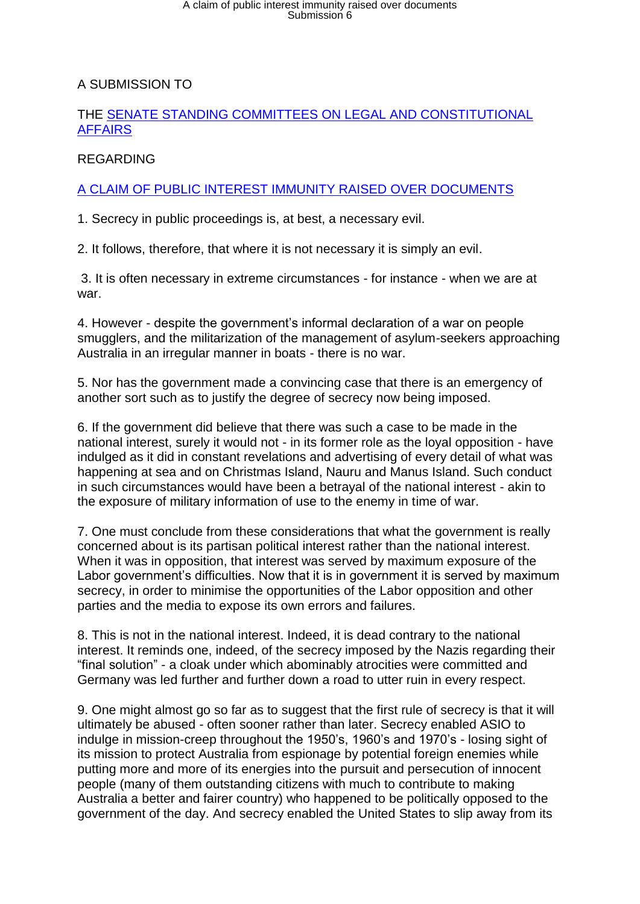# A claim of public interest immunity raised over documents<br>Submission 6

## A SUBMISSION TO

#### THE [SENATE STANDING COMMITTEES ON LEGAL AND CONSTITUTIONAL](http://www.aph.gov.au/Parliamentary_Business/Committees/Senate/Legal_and_Constitutional_Affairs)  [AFFAIRS](http://www.aph.gov.au/Parliamentary_Business/Committees/Senate/Legal_and_Constitutional_Affairs)

## REGARDING

## [A CLAIM OF PUBLIC INTEREST IMMUNITY RAISED OVER DOCUMENTS](http://www.aph.gov.au/Parliamentary_Business/Committees/Senate/Legal_and_Constitutional_Affairs/Public_Interest_Immunity)

1. Secrecy in public proceedings is, at best, a necessary evil.

2. It follows, therefore, that where it is not necessary it is simply an evil.

3. It is often necessary in extreme circumstances - for instance - when we are at war.

4. However - despite the government's informal declaration of a war on people smugglers, and the militarization of the management of asylum-seekers approaching Australia in an irregular manner in boats - there is no war.

5. Nor has the government made a convincing case that there is an emergency of another sort such as to justify the degree of secrecy now being imposed.

6. If the government did believe that there was such a case to be made in the national interest, surely it would not - in its former role as the loyal opposition - have indulged as it did in constant revelations and advertising of every detail of what was happening at sea and on Christmas Island, Nauru and Manus Island. Such conduct in such circumstances would have been a betrayal of the national interest - akin to the exposure of military information of use to the enemy in time of war.

7. One must conclude from these considerations that what the government is really concerned about is its partisan political interest rather than the national interest. When it was in opposition, that interest was served by maximum exposure of the Labor government's difficulties. Now that it is in government it is served by maximum secrecy, in order to minimise the opportunities of the Labor opposition and other parties and the media to expose its own errors and failures.

8. This is not in the national interest. Indeed, it is dead contrary to the national interest. It reminds one, indeed, of the secrecy imposed by the Nazis regarding their "final solution" - a cloak under which abominably atrocities were committed and Germany was led further and further down a road to utter ruin in every respect.

9. One might almost go so far as to suggest that the first rule of secrecy is that it will ultimately be abused - often sooner rather than later. Secrecy enabled ASIO to indulge in mission-creep throughout the 1950's, 1960's and 1970's - losing sight of its mission to protect Australia from espionage by potential foreign enemies while putting more and more of its energies into the pursuit and persecution of innocent people (many of them outstanding citizens with much to contribute to making Australia a better and fairer country) who happened to be politically opposed to the government of the day. And secrecy enabled the United States to slip away from its